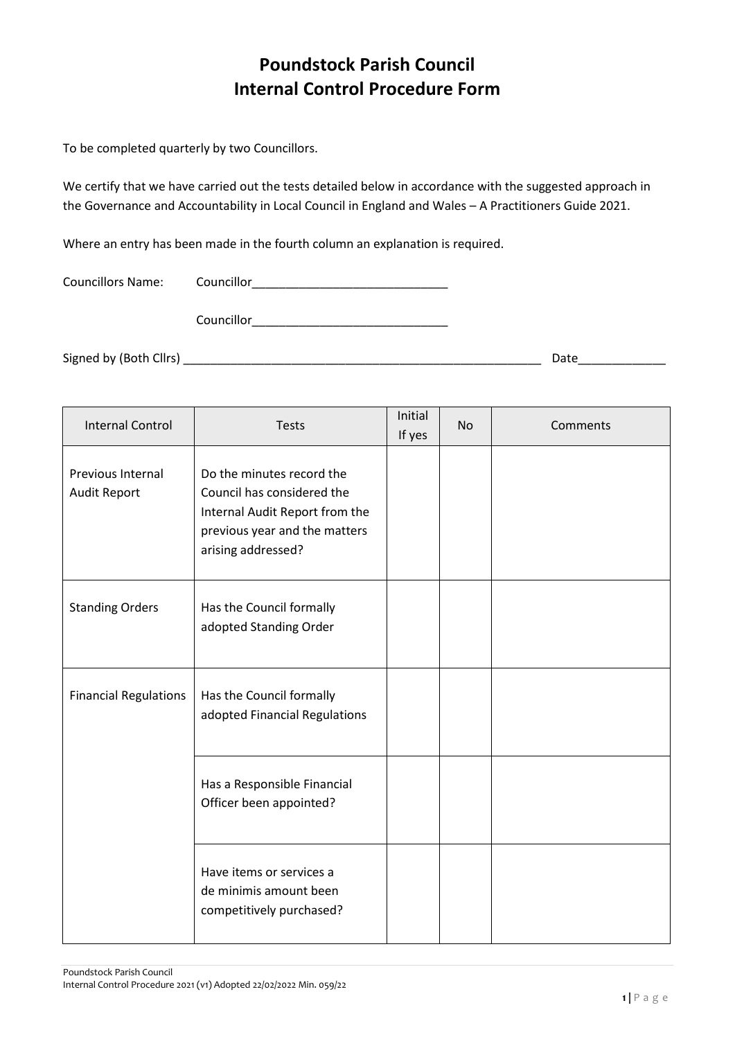## **Poundstock Parish Council Internal Control Procedure Form**

To be completed quarterly by two Councillors.

We certify that we have carried out the tests detailed below in accordance with the suggested approach in the Governance and Accountability in Local Council in England and Wales – A Practitioners Guide 2021.

Where an entry has been made in the fourth column an explanation is required.

| <b>Councillors Name:</b> | Councillor |      |
|--------------------------|------------|------|
|                          | Councillor |      |
| Signed by (Both Cllrs) _ |            | Date |

| <b>Internal Control</b>           | <b>Tests</b>                                                                                                                                     | Initial<br>If yes | <b>No</b> | Comments |
|-----------------------------------|--------------------------------------------------------------------------------------------------------------------------------------------------|-------------------|-----------|----------|
| Previous Internal<br>Audit Report | Do the minutes record the<br>Council has considered the<br>Internal Audit Report from the<br>previous year and the matters<br>arising addressed? |                   |           |          |
| <b>Standing Orders</b>            | Has the Council formally<br>adopted Standing Order                                                                                               |                   |           |          |
| <b>Financial Regulations</b>      | Has the Council formally<br>adopted Financial Regulations                                                                                        |                   |           |          |
|                                   | Has a Responsible Financial<br>Officer been appointed?                                                                                           |                   |           |          |
|                                   | Have items or services a<br>de minimis amount been<br>competitively purchased?                                                                   |                   |           |          |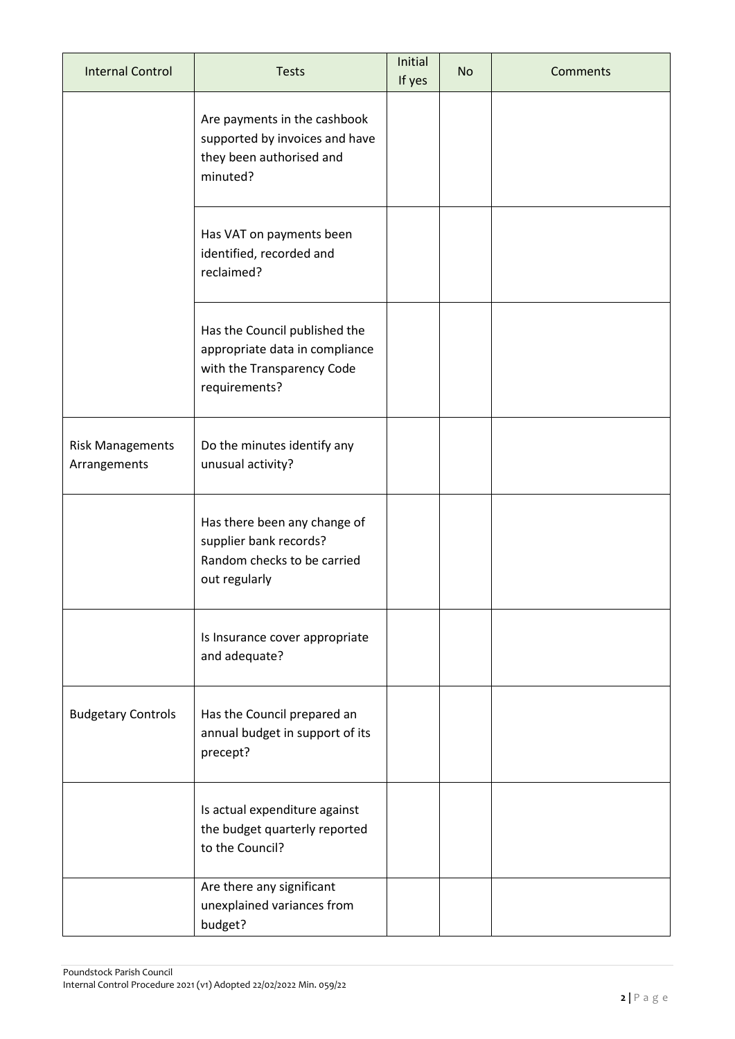| <b>Internal Control</b>                 | <b>Tests</b>                                                                                                   | Initial<br>If yes | <b>No</b> | Comments |
|-----------------------------------------|----------------------------------------------------------------------------------------------------------------|-------------------|-----------|----------|
|                                         | Are payments in the cashbook<br>supported by invoices and have<br>they been authorised and<br>minuted?         |                   |           |          |
|                                         | Has VAT on payments been<br>identified, recorded and<br>reclaimed?                                             |                   |           |          |
|                                         | Has the Council published the<br>appropriate data in compliance<br>with the Transparency Code<br>requirements? |                   |           |          |
| <b>Risk Managements</b><br>Arrangements | Do the minutes identify any<br>unusual activity?                                                               |                   |           |          |
|                                         | Has there been any change of<br>supplier bank records?<br>Random checks to be carried<br>out regularly         |                   |           |          |
|                                         | Is Insurance cover appropriate<br>and adequate?                                                                |                   |           |          |
| <b>Budgetary Controls</b>               | Has the Council prepared an<br>annual budget in support of its<br>precept?                                     |                   |           |          |
|                                         | Is actual expenditure against<br>the budget quarterly reported<br>to the Council?                              |                   |           |          |
|                                         | Are there any significant<br>unexplained variances from<br>budget?                                             |                   |           |          |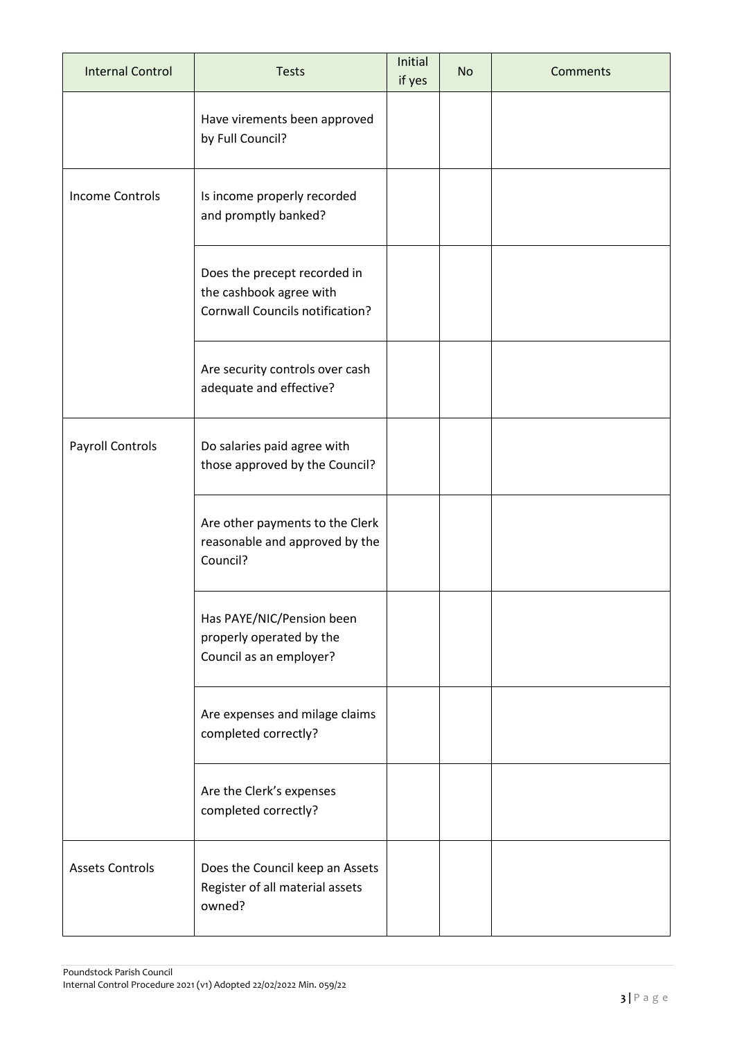| <b>Internal Control</b> | <b>Tests</b>                                                                                      | Initial<br>if yes | <b>No</b> | Comments |
|-------------------------|---------------------------------------------------------------------------------------------------|-------------------|-----------|----------|
|                         | Have virements been approved<br>by Full Council?                                                  |                   |           |          |
| <b>Income Controls</b>  | Is income properly recorded<br>and promptly banked?                                               |                   |           |          |
|                         | Does the precept recorded in<br>the cashbook agree with<br><b>Cornwall Councils notification?</b> |                   |           |          |
|                         | Are security controls over cash<br>adequate and effective?                                        |                   |           |          |
| Payroll Controls        | Do salaries paid agree with<br>those approved by the Council?                                     |                   |           |          |
|                         | Are other payments to the Clerk<br>reasonable and approved by the<br>Council?                     |                   |           |          |
|                         | Has PAYE/NIC/Pension been<br>properly operated by the<br>Council as an employer?                  |                   |           |          |
|                         | Are expenses and milage claims<br>completed correctly?                                            |                   |           |          |
|                         | Are the Clerk's expenses<br>completed correctly?                                                  |                   |           |          |
| <b>Assets Controls</b>  | Does the Council keep an Assets<br>Register of all material assets<br>owned?                      |                   |           |          |